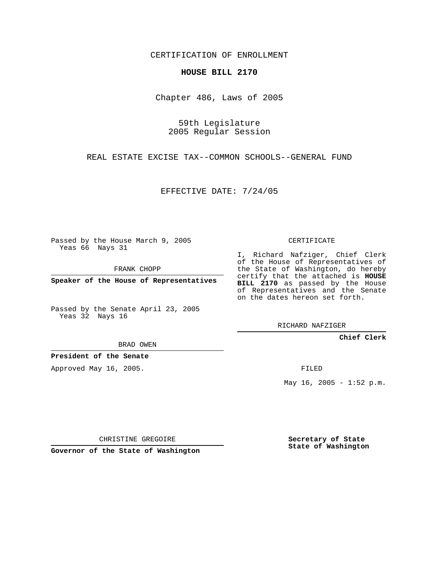CERTIFICATION OF ENROLLMENT

## **HOUSE BILL 2170**

Chapter 486, Laws of 2005

59th Legislature 2005 Regular Session

REAL ESTATE EXCISE TAX--COMMON SCHOOLS--GENERAL FUND

EFFECTIVE DATE: 7/24/05

Passed by the House March 9, 2005 Yeas 66 Nays 31

FRANK CHOPP

**Speaker of the House of Representatives**

Passed by the Senate April 23, 2005 Yeas 32 Nays 16

BRAD OWEN

**President of the Senate**

Approved May 16, 2005.

CERTIFICATE

I, Richard Nafziger, Chief Clerk of the House of Representatives of the State of Washington, do hereby certify that the attached is **HOUSE BILL 2170** as passed by the House of Representatives and the Senate on the dates hereon set forth.

RICHARD NAFZIGER

**Chief Clerk**

FILED

May  $16$ ,  $2005 - 1:52$  p.m.

CHRISTINE GREGOIRE

**Governor of the State of Washington**

**Secretary of State State of Washington**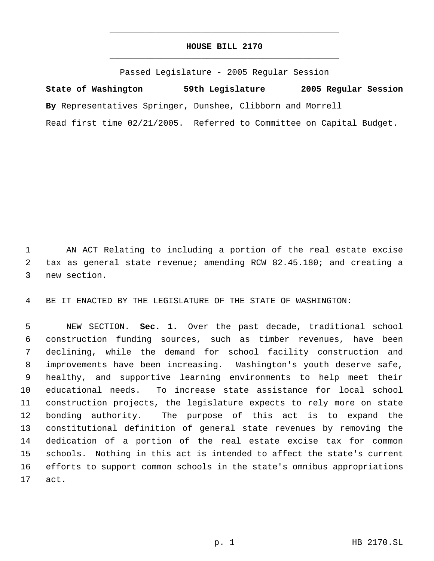## **HOUSE BILL 2170** \_\_\_\_\_\_\_\_\_\_\_\_\_\_\_\_\_\_\_\_\_\_\_\_\_\_\_\_\_\_\_\_\_\_\_\_\_\_\_\_\_\_\_\_\_

\_\_\_\_\_\_\_\_\_\_\_\_\_\_\_\_\_\_\_\_\_\_\_\_\_\_\_\_\_\_\_\_\_\_\_\_\_\_\_\_\_\_\_\_\_

Passed Legislature - 2005 Regular Session

**State of Washington 59th Legislature 2005 Regular Session By** Representatives Springer, Dunshee, Clibborn and Morrell Read first time 02/21/2005. Referred to Committee on Capital Budget.

 AN ACT Relating to including a portion of the real estate excise tax as general state revenue; amending RCW 82.45.180; and creating a new section.

BE IT ENACTED BY THE LEGISLATURE OF THE STATE OF WASHINGTON:

 NEW SECTION. **Sec. 1.** Over the past decade, traditional school construction funding sources, such as timber revenues, have been declining, while the demand for school facility construction and improvements have been increasing. Washington's youth deserve safe, healthy, and supportive learning environments to help meet their educational needs. To increase state assistance for local school construction projects, the legislature expects to rely more on state bonding authority. The purpose of this act is to expand the constitutional definition of general state revenues by removing the dedication of a portion of the real estate excise tax for common schools. Nothing in this act is intended to affect the state's current efforts to support common schools in the state's omnibus appropriations act.